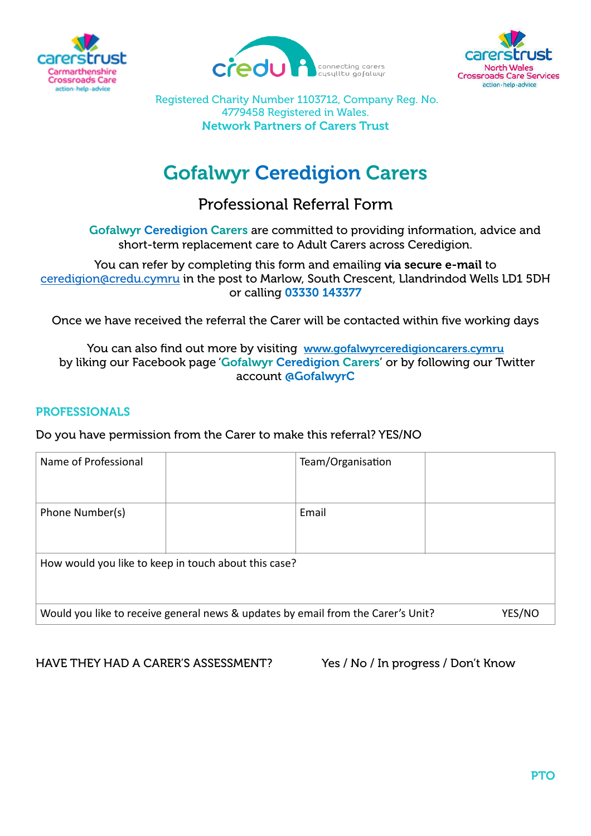





Registered Charity Number 1103712, Company Reg. No. 4779458 Registered in Wales. Network Partners of Carers Trust

# Gofalwyr Ceredigion Carers

# Professional Referral Form

Gofalwyr Ceredigion Carers are committed to providing information, advice and short-term replacement care to Adult Carers across Ceredigion.

You can refer by completing this form and emailing via secure e-mail to [ceredigion@credu.cymru](mailto:ceredigion@credu.cymru) in the post to Marlow, South Crescent, Llandrindod Wells LD1 5DH or calling 03330 143377

Once we have received the referral the Carer will be contacted within five working days

You can also find out more by visiting [www.gofalwyrceredigioncarers.cymru](http://www.credu.cymru) by liking our Facebook page 'Gofalwyr Ceredigion Carers' or by following our Twitter account @GofalwyrC

### PROFESSIONALS

Do you have permission from the Carer to make this referral? YES/NO

| Name of Professional                                                             |  | Team/Organisation |        |  |
|----------------------------------------------------------------------------------|--|-------------------|--------|--|
| Phone Number(s)                                                                  |  | Email             |        |  |
| How would you like to keep in touch about this case?                             |  |                   |        |  |
| Would you like to receive general news & updates by email from the Carer's Unit? |  |                   | YES/NC |  |

HAVE THEY HAD A CARER'S ASSESSMENT? Yes / No / In progress / Don't Know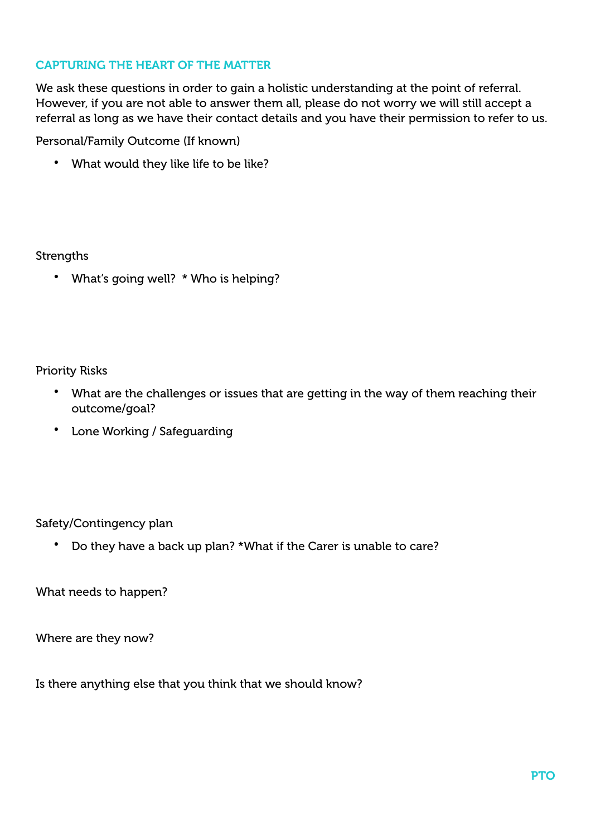# CAPTURING THE HEART OF THE MATTER

We ask these questions in order to gain a holistic understanding at the point of referral. However, if you are not able to answer them all, please do not worry we will still accept a referral as long as we have their contact details and you have their permission to refer to us.

Personal/Family Outcome (If known)

• What would they like life to be like?

**Strengths** 

• What's going well? \* Who is helping?

Priority Risks

- What are the challenges or issues that are getting in the way of them reaching their outcome/goal?
- Lone Working / Safeguarding

Safety/Contingency plan

• Do they have a back up plan? \*What if the Carer is unable to care?

What needs to happen?

Where are they now?

Is there anything else that you think that we should know?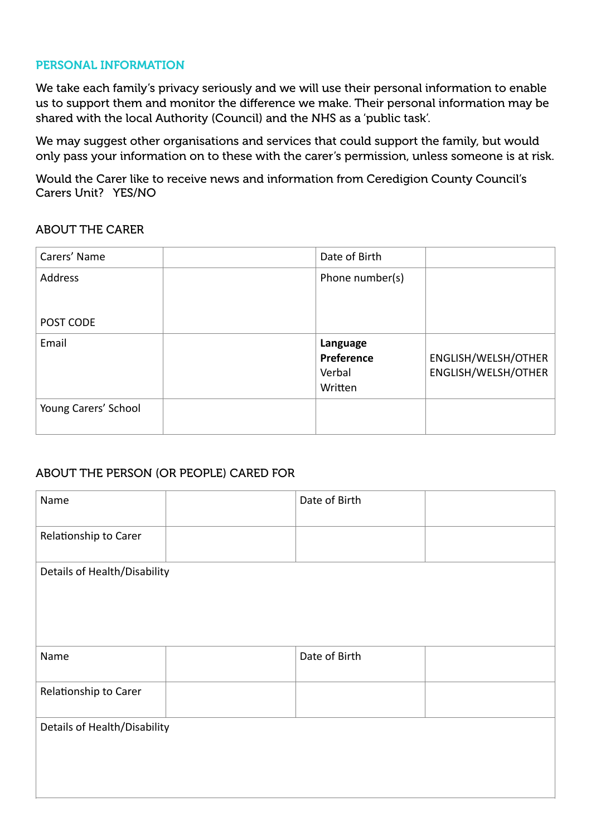#### PERSONAL INFORMATION

We take each family's privacy seriously and we will use their personal information to enable us to support them and monitor the difference we make. Their personal information may be shared with the local Authority (Council) and the NHS as a 'public task'.

We may suggest other organisations and services that could support the family, but would only pass your information on to these with the carer's permission, unless someone is at risk.

Would the Carer like to receive news and information from Ceredigion County Council's Carers Unit? YES/NO

#### ABOUT THE CARER

| Carers' Name         | Date of Birth                               |                                            |
|----------------------|---------------------------------------------|--------------------------------------------|
| Address              | Phone number(s)                             |                                            |
| POST CODE            |                                             |                                            |
| Email                | Language<br>Preference<br>Verbal<br>Written | ENGLISH/WELSH/OTHER<br>ENGLISH/WELSH/OTHER |
| Young Carers' School |                                             |                                            |

# ABOUT THE PERSON (OR PEOPLE) CARED FOR

| Name                         |  | Date of Birth |  |  |
|------------------------------|--|---------------|--|--|
| Relationship to Carer        |  |               |  |  |
| Details of Health/Disability |  |               |  |  |
| Name                         |  | Date of Birth |  |  |
| Relationship to Carer        |  |               |  |  |
| Details of Health/Disability |  |               |  |  |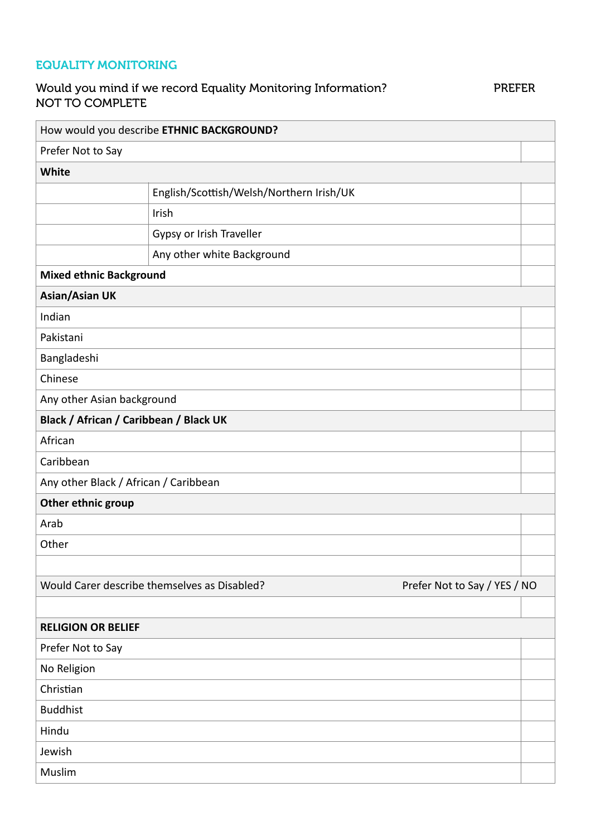# EQUALITY MONITORING

# Would you mind if we record Equality Monitoring Information? PREFER NOT TO COMPLETE

|                                        | How would you describe ETHNIC BACKGROUND?    |                              |  |
|----------------------------------------|----------------------------------------------|------------------------------|--|
| Prefer Not to Say                      |                                              |                              |  |
| White                                  |                                              |                              |  |
|                                        | English/Scottish/Welsh/Northern Irish/UK     |                              |  |
|                                        | Irish                                        |                              |  |
|                                        | Gypsy or Irish Traveller                     |                              |  |
|                                        | Any other white Background                   |                              |  |
| <b>Mixed ethnic Background</b>         |                                              |                              |  |
| <b>Asian/Asian UK</b>                  |                                              |                              |  |
| Indian                                 |                                              |                              |  |
| Pakistani                              |                                              |                              |  |
| Bangladeshi                            |                                              |                              |  |
| Chinese                                |                                              |                              |  |
| Any other Asian background             |                                              |                              |  |
| Black / African / Caribbean / Black UK |                                              |                              |  |
| African                                |                                              |                              |  |
| Caribbean                              |                                              |                              |  |
| Any other Black / African / Caribbean  |                                              |                              |  |
| Other ethnic group                     |                                              |                              |  |
| Arab                                   |                                              |                              |  |
| Other                                  |                                              |                              |  |
|                                        |                                              |                              |  |
|                                        | Would Carer describe themselves as Disabled? | Prefer Not to Say / YES / NO |  |
|                                        |                                              |                              |  |
| <b>RELIGION OR BELIEF</b>              |                                              |                              |  |
| Prefer Not to Say                      |                                              |                              |  |
| No Religion                            |                                              |                              |  |
| Christian                              |                                              |                              |  |
| <b>Buddhist</b>                        |                                              |                              |  |
| Hindu                                  |                                              |                              |  |
| Jewish                                 |                                              |                              |  |
| Muslim                                 |                                              |                              |  |